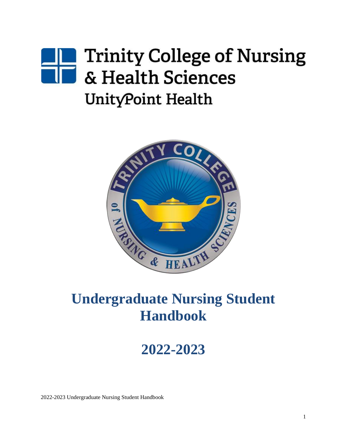# **Trinity College of Nursing** & Health Sciences UnityPoint Health



## **Undergraduate Nursing Student Handbook**

**2022-2023**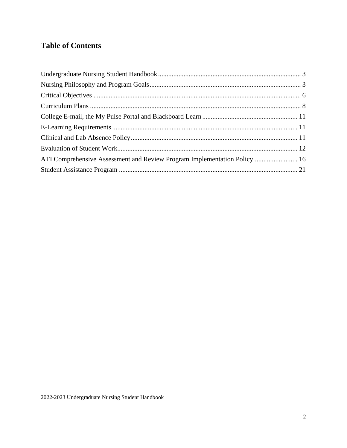## **Table of Contents**

| ATI Comprehensive Assessment and Review Program Implementation Policy 16 |  |
|--------------------------------------------------------------------------|--|
|                                                                          |  |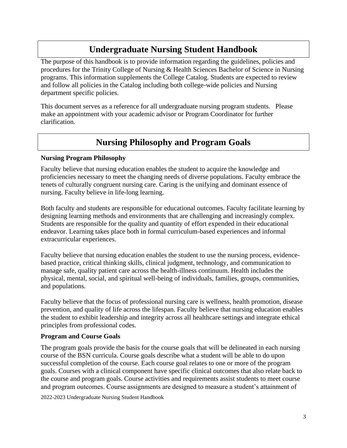## **Undergraduate Nursing Student Handbook**

<span id="page-2-0"></span>The purpose of this handbook is to provide information regarding the guidelines, policies and procedures for the Trinity College of Nursing & Health Sciences Bachelor of Science in Nursing programs. This information supplements the College Catalog. Students are expected to review and follow all policies in the Catalog including both college-wide policies and Nursing department specific policies.

This document serves as a reference for all undergraduate nursing program students. Please make an appointment with your academic advisor or Program Coordinator for further clarification.

## **Nursing Philosophy and Program Goals**

#### <span id="page-2-1"></span>**Nursing Program Philosophy**

Faculty believe that nursing education enables the student to acquire the knowledge and proficiencies necessary to meet the changing needs of diverse populations. Faculty embrace the tenets of culturally congruent nursing care. Caring is the unifying and dominant essence of nursing. Faculty believe in life-long learning.

Both faculty and students are responsible for educational outcomes. Faculty facilitate learning by designing learning methods and environments that are challenging and increasingly complex. Students are responsible for the quality and quantity of effort expended in their educational endeavor. Learning takes place both in formal curriculum-based experiences and informal extracurricular experiences.

Faculty believe that nursing education enables the student to use the nursing process, evidencebased practice, critical thinking skills, clinical judgment, technology, and communication to manage safe, quality patient care across the health-illness continuum. Health includes the physical, mental, social, and spiritual well-being of individuals, families, groups, communities, and populations.

Faculty believe that the focus of professional nursing care is wellness, health promotion, disease prevention, and quality of life across the lifespan. Faculty believe that nursing education enables the student to exhibit leadership and integrity across all healthcare settings and integrate ethical principles from professional codes.

#### **Program and Course Goals**

The program goals provide the basis for the course goals that will be delineated in each nursing course of the BSN curricula. Course goals describe what a student will be able to do upon successful completion of the course. Each course goal relates to one or more of the program goals. Courses with a clinical component have specific clinical outcomes that also relate back to the course and program goals. Course activities and requirements assist students to meet course and program outcomes. Course assignments are designed to measure a student's attainment of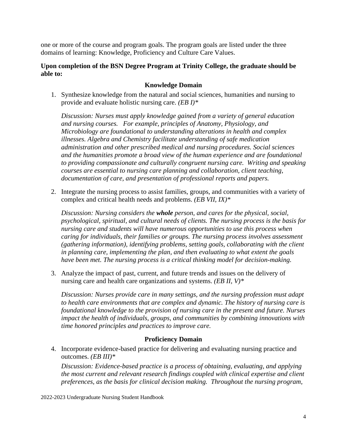one or more of the course and program goals. The program goals are listed under the three domains of learning: Knowledge, Proficiency and Culture Care Values.

#### **Upon completion of the BSN Degree Program at Trinity College, the graduate should be able to:**

#### **Knowledge Domain**

1. Synthesize knowledge from the natural and social sciences, humanities and nursing to provide and evaluate holistic nursing care. *(EB I)\**

*Discussion: Nurses must apply knowledge gained from a variety of general education and nursing courses. For example, principles of Anatomy, Physiology, and Microbiology are foundational to understanding alterations in health and complex illnesses. Algebra and Chemistry facilitate understanding of safe medication administration and other prescribed medical and nursing procedures. Social sciences and the humanities promote a broad view of the human experience and are foundational to providing compassionate and culturally congruent nursing care. Writing and speaking courses are essential to nursing care planning and collaboration, client teaching, documentation of care, and presentation of professional reports and papers.* 

2. Integrate the nursing process to assist families, groups, and communities with a variety of complex and critical health needs and problems. *(EB VII, IX)\**

*Discussion: Nursing considers the whole person, and cares for the physical, social, psychological, spiritual, and cultural needs of clients. The nursing process is the basis for nursing care and students will have numerous opportunities to use this process when caring for individuals, their families or groups. The nursing process involves assessment (gathering information), identifying problems, setting goals, collaborating with the client in planning care, implementing the plan, and then evaluating to what extent the goals have been met. The nursing process is a critical thinking model for decision-making.*

3. Analyze the impact of past, current, and future trends and issues on the delivery of nursing care and health care organizations and systems. *(EB II, V)\**

*Discussion: Nurses provide care in many settings, and the nursing profession must adapt to health care environments that are complex and dynamic. The history of nursing care is foundational knowledge to the provision of nursing care in the present and future. Nurses impact the health of individuals, groups, and communities by combining innovations with time honored principles and practices to improve care.* 

#### **Proficiency Domain**

4. Incorporate evidence-based practice for delivering and evaluating nursing practice and outcomes. *(EB III)\**

*Discussion: Evidence-based practice is a process of obtaining, evaluating, and applying the most current and relevant research findings coupled with clinical expertise and client preferences, as the basis for clinical decision making. Throughout the nursing program,*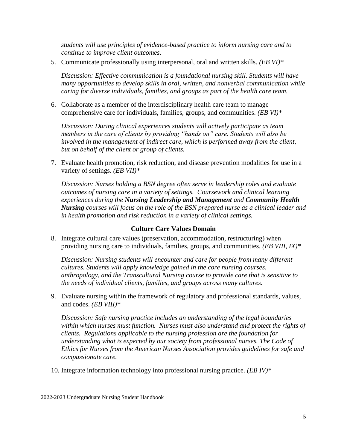*students will use principles of evidence-based practice to inform nursing care and to continue to improve client outcomes.*

5. Communicate professionally using interpersonal, oral and written skills. *(EB VI)\**

*Discussion: Effective communication is a foundational nursing skill. Students will have many opportunities to develop skills in oral, written, and nonverbal communication while caring for diverse individuals, families, and groups as part of the health care team.*

6. Collaborate as a member of the interdisciplinary health care team to manage comprehensive care for individuals, families, groups, and communities. *(EB VI)\**

*Discussion: During clinical experiences students will actively participate as team members in the care of clients by providing "hands on" care. Students will also be involved in the management of indirect care, which is performed away from the client, but on behalf of the client or group of clients.* 

7. Evaluate health promotion, risk reduction, and disease prevention modalities for use in a variety of settings. *(EB VII)\**

*Discussion: Nurses holding a BSN degree often serve in leadership roles and evaluate outcomes of nursing care in a variety of settings. Coursework and clinical learning experiences during the Nursing Leadership and Management and Community Health Nursing courses will focus on the role of the BSN prepared nurse as a clinical leader and in health promotion and risk reduction in a variety of clinical settings.*

#### **Culture Care Values Domain**

8. Integrate cultural care values (preservation, accommodation, restructuring) when providing nursing care to individuals, families, groups, and communities. *(EB VIII, IX)\**

*Discussion: Nursing students will encounter and care for people from many different cultures. Students will apply knowledge gained in the core nursing courses, anthropology, and the Transcultural Nursing course to provide care that is sensitive to the needs of individual clients, families, and groups across many cultures.* 

9. Evaluate nursing within the framework of regulatory and professional standards, values, and codes. *(EB VIII)\**

*Discussion: Safe nursing practice includes an understanding of the legal boundaries within which nurses must function. Nurses must also understand and protect the rights of clients. Regulations applicable to the nursing profession are the foundation for understanding what is expected by our society from professional nurses. The Code of Ethics for Nurses from the American Nurses Association provides guidelines for safe and compassionate care.* 

10. Integrate information technology into professional nursing practice. *(EB IV)\**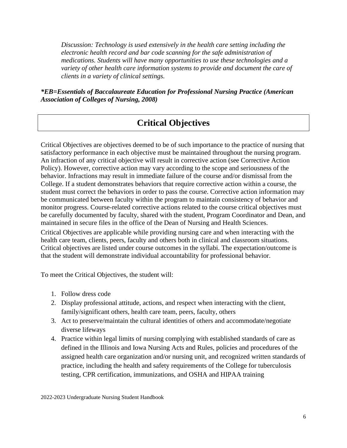*Discussion: Technology is used extensively in the health care setting including the electronic health record and bar code scanning for the safe administration of medications. Students will have many opportunities to use these technologies and a variety of other health care information systems to provide and document the care of clients in a variety of clinical settings.*

*\*EB=Essentials of Baccalaureate Education for Professional Nursing Practice (American Association of Colleges of Nursing, 2008)*

## **Critical Objectives**

<span id="page-5-0"></span>Critical Objectives are objectives deemed to be of such importance to the practice of nursing that satisfactory performance in each objective must be maintained throughout the nursing program. An infraction of any critical objective will result in corrective action (see Corrective Action Policy). However, corrective action may vary according to the scope and seriousness of the behavior. Infractions may result in immediate failure of the course and/or dismissal from the College. If a student demonstrates behaviors that require corrective action within a course, the student must correct the behaviors in order to pass the course. Corrective action information may be communicated between faculty within the program to maintain consistency of behavior and monitor progress. Course-related corrective actions related to the course critical objectives must be carefully documented by faculty, shared with the student, Program Coordinator and Dean, and maintained in secure files in the office of the Dean of Nursing and Health Sciences.

Critical Objectives are applicable while providing nursing care and when interacting with the health care team, clients, peers, faculty and others both in clinical and classroom situations. Critical objectives are listed under course outcomes in the syllabi. The expectation/outcome is that the student will demonstrate individual accountability for professional behavior.

To meet the Critical Objectives, the student will:

- 1. Follow dress code
- 2. Display professional attitude, actions, and respect when interacting with the client, family/significant others, health care team, peers, faculty, others
- 3. Act to preserve/maintain the cultural identities of others and accommodate/negotiate diverse lifeways
- 4. Practice within legal limits of nursing complying with established standards of care as defined in the Illinois and Iowa Nursing Acts and Rules, policies and procedures of the assigned health care organization and/or nursing unit, and recognized written standards of practice, including the health and safety requirements of the College for tuberculosis testing, CPR certification, immunizations, and OSHA and HIPAA training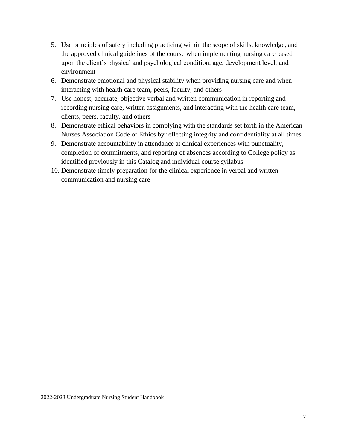- 5. Use principles of safety including practicing within the scope of skills, knowledge, and the approved clinical guidelines of the course when implementing nursing care based upon the client's physical and psychological condition, age, development level, and environment
- 6. Demonstrate emotional and physical stability when providing nursing care and when interacting with health care team, peers, faculty, and others
- 7. Use honest, accurate, objective verbal and written communication in reporting and recording nursing care, written assignments, and interacting with the health care team, clients, peers, faculty, and others
- 8. Demonstrate ethical behaviors in complying with the standards set forth in the American Nurses Association Code of Ethics by reflecting integrity and confidentiality at all times
- 9. Demonstrate accountability in attendance at clinical experiences with punctuality, completion of commitments, and reporting of absences according to College policy as identified previously in this Catalog and individual course syllabus
- 10. Demonstrate timely preparation for the clinical experience in verbal and written communication and nursing care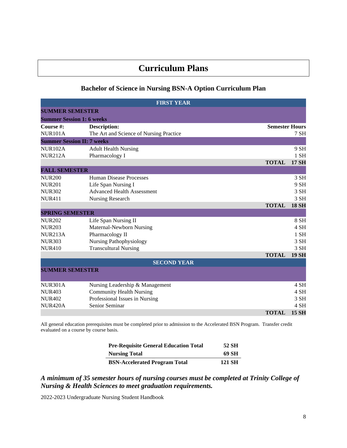## **Curriculum Plans**

#### **Bachelor of Science in Nursing BSN-A Option Curriculum Plan**

<span id="page-7-0"></span>

| <b>FIRST YEAR</b>                 |                                         |                       |              |
|-----------------------------------|-----------------------------------------|-----------------------|--------------|
| <b>SUMMER SEMESTER</b>            |                                         |                       |              |
| <b>Summer Session 1: 6 weeks</b>  |                                         |                       |              |
| Course #:                         | <b>Description:</b>                     | <b>Semester Hours</b> |              |
| <b>NUR101A</b>                    | The Art and Science of Nursing Practice |                       | $7$ SH       |
| <b>Summer Session II: 7 weeks</b> |                                         |                       |              |
| <b>NUR102A</b>                    | <b>Adult Health Nursing</b>             |                       | 9 SH         |
| <b>NUR212A</b>                    | Pharmacology I                          |                       | $1$ SH       |
|                                   |                                         | <b>TOTAL</b>          | <b>17 SH</b> |
| <b>FALL SEMESTER</b>              |                                         |                       |              |
| <b>NUR200</b>                     | <b>Human Disease Processes</b>          |                       | 3 SH         |
| <b>NUR201</b>                     | Life Span Nursing I                     |                       | 9 SH         |
| <b>NUR302</b>                     | <b>Advanced Health Assessment</b>       |                       | 3 SH         |
| <b>NUR411</b>                     | Nursing Research                        |                       | 3 SH         |
|                                   |                                         | <b>TOTAL</b>          | <b>18 SH</b> |
| <b>SPRING SEMESTER</b>            |                                         |                       |              |
| <b>NUR202</b>                     | Life Span Nursing II                    |                       | 8 SH         |
| <b>NUR203</b>                     | Maternal-Newborn Nursing                |                       | 4 SH         |
| <b>NUR213A</b>                    | Pharmacology II                         |                       | $1$ SH       |
| <b>NUR303</b>                     | <b>Nursing Pathophysiology</b>          |                       | 3 SH         |
| <b>NUR410</b>                     | <b>Transcultural Nursing</b>            |                       | 3 SH         |
|                                   |                                         | <b>TOTAL</b>          | <b>19 SH</b> |
|                                   | <b>SECOND YEAR</b>                      |                       |              |
| <b>SUMMER SEMESTER</b>            |                                         |                       |              |
|                                   |                                         |                       |              |
| <b>NUR301A</b>                    | Nursing Leadership & Management         |                       | 4 SH         |
| <b>NUR403</b>                     | <b>Community Health Nursing</b>         |                       | 4 SH         |
| <b>NUR402</b>                     | Professional Issues in Nursing          |                       | 3 SH         |
| <b>NUR420A</b>                    | Senior Seminar                          |                       | 4 SH         |
|                                   |                                         | <b>TOTAL</b>          | <b>15 SH</b> |

All general education prerequisites must be completed prior to admission to the Accelerated BSN Program. Transfer credit evaluated on a course by course basis.

| <b>Pre-Requisite General Education Total</b> | 52 SH  |
|----------------------------------------------|--------|
| <b>Nursing Total</b>                         | 69 SH  |
| <b>BSN-Accelerated Program Total</b>         | 121 SH |

*A minimum of 35 semester hours of nursing courses must be completed at Trinity College of Nursing & Health Sciences to meet graduation requirements.*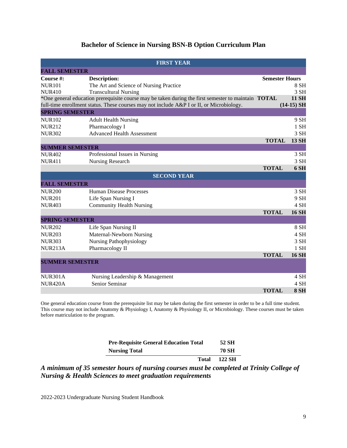#### **Bachelor of Science in Nursing BSN-B Option Curriculum Plan**

| <b>FIRST YEAR</b>      |                                                                                                            |                       |              |
|------------------------|------------------------------------------------------------------------------------------------------------|-----------------------|--------------|
| <b>FALL SEMESTER</b>   |                                                                                                            |                       |              |
| Course #:              | <b>Description:</b>                                                                                        | <b>Semester Hours</b> |              |
| <b>NUR101</b>          | The Art and Science of Nursing Practice                                                                    |                       | 8 SH         |
| <b>NUR410</b>          | <b>Transcultural Nursing</b>                                                                               |                       | 3 SH         |
|                        | *One general education prerequisite course may be taken during the first semester to maintain <b>TOTAL</b> |                       | <b>11 SH</b> |
|                        | full-time enrollment status. These courses may not include A&P I or II, or Microbiology.                   |                       | $(14-15)$ SH |
| <b>SPRING SEMESTER</b> |                                                                                                            |                       |              |
| <b>NUR102</b>          | <b>Adult Health Nursing</b>                                                                                |                       | 9 SH         |
| <b>NUR212</b>          | Pharmacology I                                                                                             |                       | $1$ SH       |
| <b>NUR302</b>          | <b>Advanced Health Assessment</b>                                                                          |                       | 3 SH         |
|                        |                                                                                                            | <b>TOTAL</b>          | <b>13 SH</b> |
| <b>SUMMER SEMESTER</b> |                                                                                                            |                       |              |
| <b>NUR402</b>          | Professional Issues in Nursing                                                                             |                       | 3 SH         |
| <b>NUR411</b>          | Nursing Research                                                                                           |                       | 3 SH         |
|                        |                                                                                                            | <b>TOTAL</b>          | <b>6 SH</b>  |
|                        | <b>SECOND YEAR</b>                                                                                         |                       |              |
| <b>FALL SEMESTER</b>   |                                                                                                            |                       |              |
| <b>NUR200</b>          | <b>Human Disease Processes</b>                                                                             |                       | 3 SH         |
| <b>NUR201</b>          | Life Span Nursing I                                                                                        |                       | 9 SH         |
| <b>NUR403</b>          | <b>Community Health Nursing</b>                                                                            |                       | 4 SH         |
|                        |                                                                                                            | <b>TOTAL</b>          | <b>16 SH</b> |
| <b>SPRING SEMESTER</b> |                                                                                                            |                       |              |
| <b>NUR202</b>          | Life Span Nursing II                                                                                       |                       | 8 SH         |
| <b>NUR203</b>          | Maternal-Newborn Nursing                                                                                   |                       | 4 SH         |
| <b>NUR303</b>          | <b>Nursing Pathophysiology</b>                                                                             |                       | 3 SH         |
| <b>NUR213A</b>         | Pharmacology II                                                                                            |                       | $1$ SH       |
|                        |                                                                                                            | <b>TOTAL</b>          | <b>16 SH</b> |
|                        | <b>SUMMER SEMESTER</b>                                                                                     |                       |              |
|                        |                                                                                                            |                       |              |
| <b>NUR301A</b>         | Nursing Leadership & Management                                                                            |                       | 4 SH         |
| <b>NUR420A</b>         | Senior Seminar                                                                                             |                       | 4 SH         |
|                        |                                                                                                            | <b>TOTAL</b>          | <b>8 SH</b>  |

One general education course from the prerequisite list may be taken during the first semester in order to be a full time student. This course may not include Anatomy & Physiology I, Anatomy & Physiology II, or Microbiology. These courses must be taken before matriculation to the program.

| Total                                        | 122 SH |
|----------------------------------------------|--------|
| <b>Nursing Total</b>                         | 70 SH  |
| <b>Pre-Requisite General Education Total</b> | 52 SH  |

*A minimum of 35 semester hours of nursing courses must be completed at Trinity College of Nursing & Health Sciences to meet graduation requirements*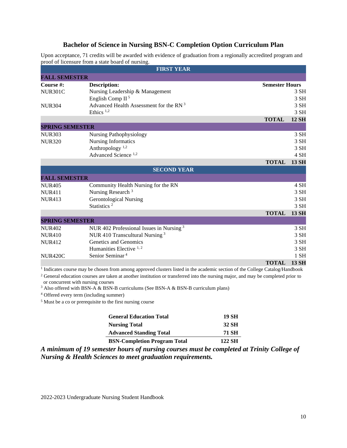#### **Bachelor of Science in Nursing BSN-C Completion Option Curriculum Plan**

Upon acceptance, 71 credits will be awarded with evidence of graduation from a regionally accredited program and proof of licensure from a state board of nursing.

|                        | <b>FIRST YEAR</b>                                   |                       |              |
|------------------------|-----------------------------------------------------|-----------------------|--------------|
| <b>FALL SEMESTER</b>   |                                                     |                       |              |
| Course #:              | Description:                                        | <b>Semester Hours</b> |              |
| <b>NUR301C</b>         | Nursing Leadership & Management                     |                       | 3 SH         |
|                        | English Comp II <sup>5</sup>                        |                       | 3 SH         |
| <b>NUR304</b>          | Advanced Health Assessment for the RN <sup>3</sup>  |                       | 3 SH         |
|                        | Ethics <sup>1,2</sup>                               |                       | 3 SH         |
|                        |                                                     | <b>TOTAL</b>          | <b>12 SH</b> |
| <b>SPRING SEMESTER</b> |                                                     |                       |              |
| <b>NUR303</b>          | <b>Nursing Pathophysiology</b>                      |                       | 3 SH         |
| <b>NUR320</b>          | <b>Nursing Informatics</b>                          |                       | 3 SH         |
|                        | Anthropology <sup>1,2</sup>                         |                       | 3 SH         |
|                        | Advanced Science <sup>1,2</sup>                     |                       | 4 SH         |
|                        |                                                     | <b>TOTAL</b>          | <b>13 SH</b> |
|                        | <b>SECOND YEAR</b>                                  |                       |              |
| <b>FALL SEMESTER</b>   |                                                     |                       |              |
| <b>NUR405</b>          | Community Health Nursing for the RN                 |                       | 4 SH         |
| <b>NUR411</b>          | Nursing Research <sup>3</sup>                       |                       | 3 SH         |
| <b>NUR413</b>          | <b>Gerontological Nursing</b>                       |                       | 3 SH         |
|                        | Statistics <sup>2</sup>                             |                       | 3 SH         |
|                        |                                                     | <b>TOTAL</b>          | <b>13 SH</b> |
| <b>SPRING SEMESTER</b> |                                                     |                       |              |
| <b>NUR402</b>          | NUR 402 Professional Issues in Nursing <sup>3</sup> |                       | 3 SH         |
| <b>NUR410</b>          | NUR 410 Transcultural Nursing <sup>3</sup>          |                       | 3 SH         |
| <b>NUR412</b>          | Genetics and Genomics                               |                       | 3 SH         |
|                        | Humanities Elective $1, 2$                          |                       | 3 SH         |
| <b>NUR420C</b>         | Senior Seminar <sup>4</sup>                         |                       | $1$ SH       |
|                        |                                                     | <b>TOTAL</b>          | <b>13 SH</b> |

<sup>1</sup> Indicates course may be chosen from among approved clusters listed in the academic section of the College Catalog/Handbook

<sup>2</sup> General education courses are taken at another institution or transferred into the nursing major, and may be completed prior to or concurrent with nursing courses

<sup>3</sup> Also offered with BSN-A  $\&$  BSN-B curriculums (See BSN-A  $\&$  BSN-B curriculum plans)

<sup>4</sup> Offered every term (including summer)

<sup>5</sup> Must be a co or prerequisite to the first nursing course

| <b>General Education Total</b> | 19 SH |
|--------------------------------|-------|
| <b>Nursing Total</b>           | 32 SH |
| <b>Advanced Standing Total</b> | 71 SH |
|                                |       |

**BSN-Completion Program Total 122 SH**

*A minimum of 19 semester hours of nursing courses must be completed at Trinity College of Nursing & Health Sciences to meet graduation requirements.*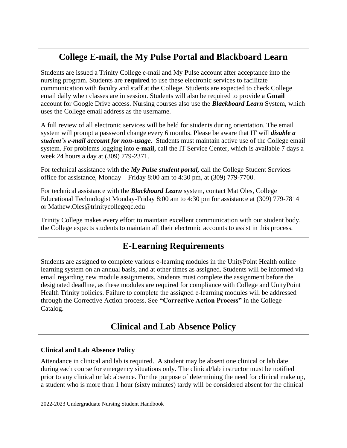## **College E-mail, the My Pulse Portal and Blackboard Learn**

<span id="page-10-0"></span>Students are issued a Trinity College e-mail and My Pulse account after acceptance into the nursing program. Students are **required** to use these electronic services to facilitate communication with faculty and staff at the College. Students are expected to check College email daily when classes are in session. Students will also be required to provide a **Gmail**  account for Google Drive access. Nursing courses also use the *Blackboard Learn* System, which uses the College email address as the username.

A full review of all electronic services will be held for students during orientation. The email system will prompt a password change every 6 months. Please be aware that IT will *disable a student's e-mail account for non-usage*. Students must maintain active use of the College email system. For problems logging into **e-mail,** call the IT Service Center, which is available 7 days a week 24 hours a day at (309) 779-2371.

For technical assistance with the *My Pulse student portal,* call the College Student Services office for assistance, Monday – Friday 8:00 am to 4:30 pm, at (309) 779-7700.

For technical assistance with the *Blackboard Learn* system, contact Mat Oles, College Educational Technologist Monday-Friday 8:00 am to 4:30 pm for assistance at (309) 779-7814 or [Mathew.Oles@trinitycollegeqc.edu](mailto:Mathew.Oles@trinitycollegeqc.edu) 

Trinity College makes every effort to maintain excellent communication with our student body, the College expects students to maintain all their electronic accounts to assist in this process.

## **E-Learning Requirements**

<span id="page-10-1"></span>Students are assigned to complete various e-learning modules in the UnityPoint Health online learning system on an annual basis, and at other times as assigned. Students will be informed via email regarding new module assignments. Students must complete the assignment before the designated deadline, as these modules are required for compliance with College and UnityPoint Health Trinity policies. Failure to complete the assigned e-learning modules will be addressed through the Corrective Action process. See **"Corrective Action Process"** in the College Catalog.

## **Clinical and Lab Absence Policy**

#### <span id="page-10-2"></span>**Clinical and Lab Absence Policy**

Attendance in clinical and lab is required. A student may be absent one clinical or lab date during each course for emergency situations only. The clinical/lab instructor must be notified prior to any clinical or lab absence. For the purpose of determining the need for clinical make up, a student who is more than 1 hour (sixty minutes) tardy will be considered absent for the clinical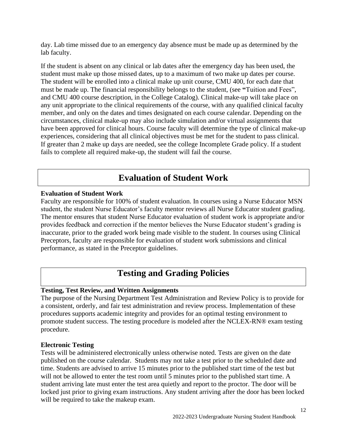day. Lab time missed due to an emergency day absence must be made up as determined by the lab faculty.

If the student is absent on any clinical or lab dates after the emergency day has been used, the student must make up those missed dates, up to a maximum of two make up dates per course. The student will be enrolled into a clinical make up unit course, CMU 400, for each date that must be made up. The financial responsibility belongs to the student, (see **"**Tuition and Fees", and CMU 400 course description, in the College Catalog). Clinical make-up will take place on any unit appropriate to the clinical requirements of the course, with any qualified clinical faculty member, and only on the dates and times designated on each course calendar. Depending on the circumstances, clinical make-up may also include simulation and/or virtual assignments that have been approved for clinical hours. Course faculty will determine the type of clinical make-up experiences, considering that all clinical objectives must be met for the student to pass clinical. If greater than 2 make up days are needed, see the college Incomplete Grade policy. If a student fails to complete all required make-up, the student will fail the course.

## **Evaluation of Student Work**

#### <span id="page-11-0"></span>**Evaluation of Student Work**

Faculty are responsible for 100% of student evaluation. In courses using a Nurse Educator MSN student, the student Nurse Educator's faculty mentor reviews all Nurse Educator student grading. The mentor ensures that student Nurse Educator evaluation of student work is appropriate and/or provides feedback and correction if the mentor believes the Nurse Educator student's grading is inaccurate, prior to the graded work being made visible to the student. In courses using Clinical Preceptors, faculty are responsible for evaluation of student work submissions and clinical performance, as stated in the Preceptor guidelines.

## **Testing and Grading Policies**

#### **Testing, Test Review, and Written Assignments**

The purpose of the Nursing Department Test Administration and Review Policy is to provide for a consistent, orderly, and fair test administration and review process. Implementation of these procedures supports academic integrity and provides for an optimal testing environment to promote student success. The testing procedure is modeled after the NCLEX-RN® exam testing procedure.

#### **Electronic Testing**

Tests will be administered electronically unless otherwise noted. Tests are given on the date published on the course calendar. Students may not take a test prior to the scheduled date and time. Students are advised to arrive 15 minutes prior to the published start time of the test but will not be allowed to enter the test room until 5 minutes prior to the published start time. A student arriving late must enter the test area quietly and report to the proctor. The door will be locked just prior to giving exam instructions. Any student arriving after the door has been locked will be required to take the makeup exam.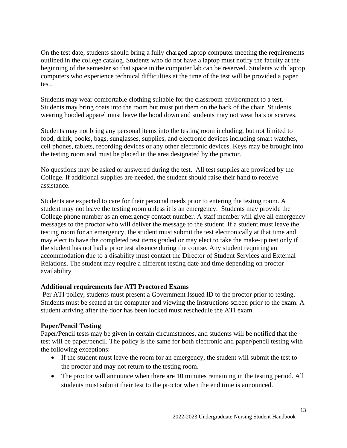On the test date, students should bring a fully charged laptop computer meeting the requirements outlined in the college catalog. Students who do not have a laptop must notify the faculty at the beginning of the semester so that space in the computer lab can be reserved. Students with laptop computers who experience technical difficulties at the time of the test will be provided a paper test.

Students may wear comfortable clothing suitable for the classroom environment to a test. Students may bring coats into the room but must put them on the back of the chair. Students wearing hooded apparel must leave the hood down and students may not wear hats or scarves.

Students may not bring any personal items into the testing room including, but not limited to food, drink, books, bags, sunglasses, supplies, and electronic devices including smart watches, cell phones, tablets, recording devices or any other electronic devices. Keys may be brought into the testing room and must be placed in the area designated by the proctor.

No questions may be asked or answered during the test. All test supplies are provided by the College. If additional supplies are needed, the student should raise their hand to receive assistance.

Students are expected to care for their personal needs prior to entering the testing room. A student may not leave the testing room unless it is an emergency. Students may provide the College phone number as an emergency contact number. A staff member will give all emergency messages to the proctor who will deliver the message to the student. If a student must leave the testing room for an emergency, the student must submit the test electronically at that time and may elect to have the completed test items graded or may elect to take the make-up test only if the student has not had a prior test absence during the course. Any student requiring an accommodation due to a disability must contact the Director of Student Services and External Relations. The student may require a different testing date and time depending on proctor availability.

#### **Additional requirements for ATI Proctored Exams**

Per ATI policy, students must present a Government Issued ID to the proctor prior to testing. Students must be seated at the computer and viewing the Instructions screen prior to the exam. A student arriving after the door has been locked must reschedule the ATI exam.

#### **Paper/Pencil Testing**

Paper/Pencil tests may be given in certain circumstances, and students will be notified that the test will be paper/pencil. The policy is the same for both electronic and paper/pencil testing with the following exceptions:

- If the student must leave the room for an emergency, the student will submit the test to the proctor and may not return to the testing room.
- The proctor will announce when there are 10 minutes remaining in the testing period. All students must submit their test to the proctor when the end time is announced.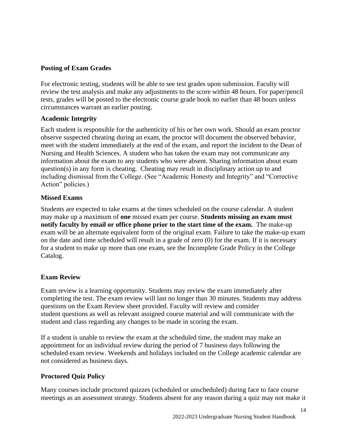#### **Posting of Exam Grades**

For electronic testing, students will be able to see test grades upon submission. Faculty will review the test analysis and make any adjustments to the score within 48 hours. For paper/pencil tests, grades will be posted to the electronic course grade book no earlier than 48 hours unless circumstances warrant an earlier posting.

#### **Academic Integrity**

Each student is responsible for the authenticity of his or her own work. Should an exam proctor observe suspected cheating during an exam, the proctor will document the observed behavior, meet with the student immediately at the end of the exam, and report the incident to the Dean of Nursing and Health Sciences. A student who has taken the exam may not communicate any information about the exam to any students who were absent. Sharing information about exam question(s) in any form is cheating. Cheating may result in disciplinary action up to and including dismissal from the College. (See "Academic Honesty and Integrity" and "Corrective Action" policies.)

#### **Missed Exams**

Students are expected to take exams at the times scheduled on the course calendar. A student may make up a maximum of **one** missed exam per course. **Students missing an exam must notify faculty by email or office phone prior to the start time of the exam.** The make-up exam will be an alternate equivalent form of the original exam. Failure to take the make-up exam on the date and time scheduled will result in a grade of zero (0) for the exam. If it is necessary for a student to make up more than one exam, see the Incomplete Grade Policy in the College Catalog.

#### **Exam Review**

Exam review is a learning opportunity. Students may review the exam immediately after completing the test. The exam review will last no longer than 30 minutes. Students may address questions on the Exam Review sheet provided. Faculty will review and consider student questions as well as relevant assigned course material and will communicate with the student and class regarding any changes to be made in scoring the exam.

If a student is unable to review the exam at the scheduled time, the student may make an appointment for an individual review during the period of 7 business days following the scheduled exam review. Weekends and holidays included on the College academic calendar are not considered as business days.

#### **Proctored Quiz Policy**

Many courses include proctored quizzes (scheduled or unscheduled) during face to face course meetings as an assessment strategy. Students absent for any reason during a quiz may not make it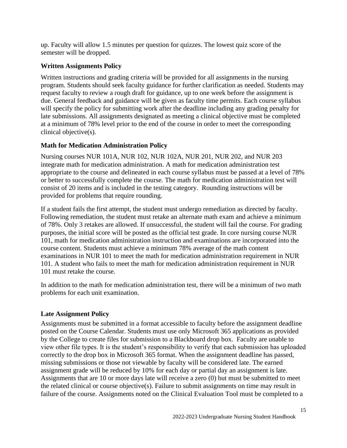up. Faculty will allow 1.5 minutes per question for quizzes. The lowest quiz score of the semester will be dropped.

#### **Written Assignments Policy**

Written instructions and grading criteria will be provided for all assignments in the nursing program. Students should seek faculty guidance for further clarification as needed. Students may request faculty to review a rough draft for guidance, up to one week before the assignment is due. General feedback and guidance will be given as faculty time permits. Each course syllabus will specify the policy for submitting work after the deadline including any grading penalty for late submissions. All assignments designated as meeting a clinical objective must be completed at a minimum of 78% level prior to the end of the course in order to meet the corresponding clinical objective(s).

#### **Math for Medication Administration Policy**

Nursing courses NUR 101A, NUR 102, NUR 102A, NUR 201, NUR 202, and NUR 203 integrate math for medication administration. A math for medication administration test appropriate to the course and delineated in each course syllabus must be passed at a level of 78% or better to successfully complete the course. The math for medication administration test will consist of 20 items and is included in the testing category. Rounding instructions will be provided for problems that require rounding.

If a student fails the first attempt, the student must undergo remediation as directed by faculty. Following remediation, the student must retake an alternate math exam and achieve a minimum of 78%. Only 3 retakes are allowed. If unsuccessful, the student will fail the course. For grading purposes, the initial score will be posted as the official test grade. In core nursing course NUR 101, math for medication administration instruction and examinations are incorporated into the course content. Students must achieve a minimum 78% average of the math content examinations in NUR 101 to meet the math for medication administration requirement in NUR 101. A student who fails to meet the math for medication administration requirement in NUR 101 must retake the course.

In addition to the math for medication administration test, there will be a minimum of two math problems for each unit examination.

#### **Late Assignment Policy**

Assignments must be submitted in a format accessible to faculty before the assignment deadline posted on the Course Calendar. Students must use only Microsoft 365 applications as provided by the College to create files for submission to a Blackboard drop box. Faculty are unable to view other file types. It is the student's responsibility to verify that each submission has uploaded correctly to the drop box in Microsoft 365 format. When the assignment deadline has passed, missing submissions or those not viewable by faculty will be considered late. The earned assignment grade will be reduced by 10% for each day or partial day an assignment is late. Assignments that are 10 or more days late will receive a zero (0) but must be submitted to meet the related clinical or course objective(s). Failure to submit assignments on time may result in failure of the course. Assignments noted on the Clinical Evaluation Tool must be completed to a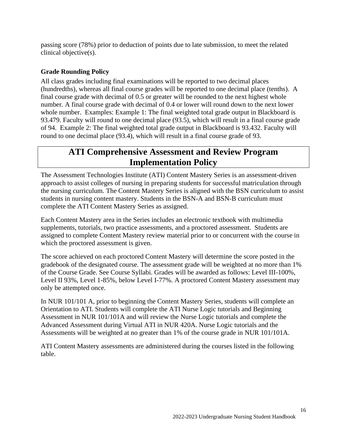passing score (78%) prior to deduction of points due to late submission, to meet the related clinical objective(s).

#### **Grade Rounding Policy**

All class grades including final examinations will be reported to two decimal places (hundredths), whereas all final course grades will be reported to one decimal place (tenths). A final course grade with decimal of 0.5 or greater will be rounded to the next highest whole number. A final course grade with decimal of 0.4 or lower will round down to the next lower whole number. Examples: Example 1: The final weighted total grade output in Blackboard is 93.479. Faculty will round to one decimal place (93.5), which will result in a final course grade of 94. Example 2: The final weighted total grade output in Blackboard is 93.432. Faculty will round to one decimal place (93.4), which will result in a final course grade of 93.

## **ATI Comprehensive Assessment and Review Program Implementation Policy**

<span id="page-15-0"></span>The Assessment Technologies Institute (ATI) Content Mastery Series is an assessment-driven approach to assist colleges of nursing in preparing students for successful matriculation through the nursing curriculum. The Content Mastery Series is aligned with the BSN curriculum to assist students in nursing content mastery. Students in the BSN-A and BSN-B curriculum must complete the ATI Content Mastery Series as assigned.

Each Content Mastery area in the Series includes an electronic textbook with multimedia supplements, tutorials, two practice assessments, and a proctored assessment. Students are assigned to complete Content Mastery review material prior to or concurrent with the course in which the proctored assessment is given.

The score achieved on each proctored Content Mastery will determine the score posted in the gradebook of the designated course. The assessment grade will be weighted at no more than 1% of the Course Grade. See Course Syllabi. Grades will be awarded as follows: Level III-100%, Level II 93%, Level 1-85%, below Level I-77%. A proctored Content Mastery assessment may only be attempted once.

In NUR 101/101 A, prior to beginning the Content Mastery Series, students will complete an Orientation to ATI. Students will complete the ATI Nurse Logic tutorials and Beginning Assessment in NUR 101/101A and will review the Nurse Logic tutorials and complete the Advanced Assessment during Virtual ATI in NUR 420A. Nurse Logic tutorials and the Assessments will be weighted at no greater than 1% of the course grade in NUR 101/101A.

ATI Content Mastery assessments are administered during the courses listed in the following table.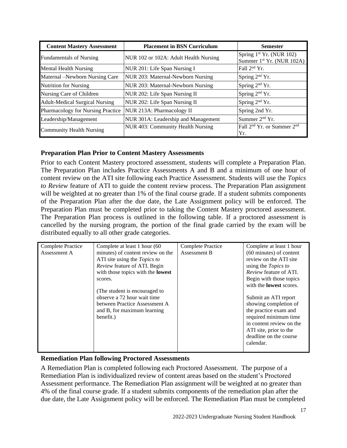| <b>Content Mastery Assessment</b>     | <b>Placement in BSN Curriculum</b>    | <b>Semester</b>                                                               |
|---------------------------------------|---------------------------------------|-------------------------------------------------------------------------------|
| <b>Fundamentals of Nursing</b>        | NUR 102 or 102A: Adult Health Nursing | Spring 1 <sup>st</sup> Yr. (NUR 102)<br>Summer 1 <sup>st</sup> Yr. (NUR 102A) |
| <b>Mental Health Nursing</b>          | NUR 201: Life Span Nursing I          | Fall $2nd$ Yr.                                                                |
| Maternal -Newborn Nursing Care        | NUR 203: Maternal-Newborn Nursing     | Spring $2nd$ Yr.                                                              |
| <b>Nutrition for Nursing</b>          | NUR 203: Maternal-Newborn Nursing     | Spring 2 <sup>nd</sup> Yr.                                                    |
| Nursing Care of Children              | NUR 202: Life Span Nursing II         | Spring 2 <sup>nd</sup> Yr.                                                    |
| <b>Adult-Medical Surgical Nursing</b> | NUR 202: Life Span Nursing II         | Spring $2nd$ Yr.                                                              |
| Pharmacology for Nursing Practice     | NUR 213A: Pharmacology II             | Spring 2nd Yr.                                                                |
| Leadership/Management                 | NUR 301A: Leadership and Management   | Summer $2nd$ Yr.                                                              |
| <b>Community Health Nursing</b>       | NUR 403: Community Health Nursing     | Fall 2 <sup>nd</sup> Yr. or Summer 2 <sup>nd</sup><br>Yr.                     |

#### **Preparation Plan Prior to Content Mastery Assessments**

Prior to each Content Mastery proctored assessment, students will complete a Preparation Plan. The Preparation Plan includes Practice Assessments A and B and a minimum of one hour of content review on the ATI site following each Practice Assessment. Students will use the *Topics to Review* feature of ATI to guide the content review process. The Preparation Plan assignment will be weighted at no greater than 1% of the final course grade. If a student submits components of the Preparation Plan after the due date, the Late Assignment policy will be enforced. The Preparation Plan must be completed prior to taking the Content Mastery proctored assessment. The Preparation Plan process is outlined in the following table. If a proctored assessment is cancelled by the nursing program, the portion of the final grade carried by the exam will be distributed equally to all other grade categories.

| <b>Complete Practice</b> | Complete at least 1 hour (60)            | <b>Complete Practice</b> | Complete at least 1 hour                                  |
|--------------------------|------------------------------------------|--------------------------|-----------------------------------------------------------|
| Assessment A             | minutes) of content review on the        | Assessment B             | (60 minutes) of content                                   |
|                          | ATI site using the <i>Topics to</i>      |                          | review on the ATI site                                    |
|                          | Review feature of ATI. Begin             |                          | using the <i>Topics</i> to                                |
|                          | with those topics with the <b>lowest</b> |                          | Review feature of ATI.                                    |
|                          | scores.                                  |                          | Begin with those topics<br>with the <b>lowest</b> scores. |
|                          | (The student is encouraged to            |                          |                                                           |
|                          | observe a 72 hour wait time              |                          | Submit an ATI report                                      |
|                          | between Practice Assessment A            |                          | showing completion of                                     |
|                          | and B, for maximum learning              |                          | the practice exam and                                     |
|                          | benefit.)                                |                          | required minimum time                                     |
|                          |                                          |                          | in content review on the                                  |
|                          |                                          |                          | ATI site, prior to the                                    |
|                          |                                          |                          | deadline on the course                                    |
|                          |                                          |                          | calendar.                                                 |
|                          |                                          |                          |                                                           |

#### **Remediation Plan following Proctored Assessments**

A Remediation Plan is completed following each Proctored Assessment. The purpose of a Remediation Plan is individualized review of content areas based on the student's Proctored Assessment performance. The Remediation Plan assignment will be weighted at no greater than 4% of the final course grade. If a student submits components of the remediation plan after the due date, the Late Assignment policy will be enforced. The Remediation Plan must be completed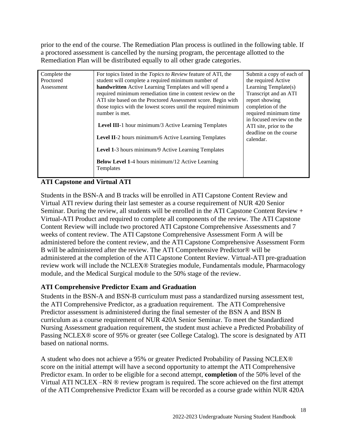prior to the end of the course. The Remediation Plan process is outlined in the following table. If a proctored assessment is cancelled by the nursing program, the percentage allotted to the Remediation Plan will be distributed equally to all other grade categories.

| Complete the | For topics listed in the <i>Topics to Review</i> feature of ATI, the | Submit a copy of each of                                                     |
|--------------|----------------------------------------------------------------------|------------------------------------------------------------------------------|
| Proctored    | student will complete a required minimum number of                   | the required Active                                                          |
| Assessment   | handwritten Active Learning Templates and will spend a               | Learning Template(s)                                                         |
|              | required minimum remediation time in content review on the           | Transcript and an ATI                                                        |
|              | ATI site based on the Proctored Assessment score. Begin with         | report showing                                                               |
|              | those topics with the lowest scores until the required minimum       | completion of the                                                            |
|              | number is met.                                                       | required minimum time                                                        |
|              | Level III-1 hour minimum/3 Active Learning Templates                 | in focused review on the<br>ATI site, prior to the<br>deadline on the course |
|              | Level II-2 hours minimum/6 Active Learning Templates                 | calendar.                                                                    |
|              | Level 1-3 hours minimum/9 Active Learning Templates                  |                                                                              |
|              | <b>Below Level 1-4 hours minimum/12 Active Learning</b><br>Templates |                                                                              |

#### **ATI Capstone and Virtual ATI**

Students in the BSN-A and B tracks will be enrolled in ATI Capstone Content Review and Virtual ATI review during their last semester as a course requirement of NUR 420 Senior Seminar. During the review, all students will be enrolled in the ATI Capstone Content Review + Virtual-ATI Product and required to complete all components of the review. The ATI Capstone Content Review will include two proctored ATI Capstone Comprehensive Assessments and 7 weeks of content review. The ATI Capstone Comprehensive Assessment Form A will be administered before the content review, and the ATI Capstone Comprehensive Assessment Form B will be administered after the review. The ATI Comprehensive Predictor® will be administered at the completion of the ATI Capstone Content Review. Virtual-ATI pre-graduation review work will include the NCLEX® Strategies module, Fundamentals module, Pharmacology module, and the Medical Surgical module to the 50% stage of the review.

#### **ATI Comprehensive Predictor Exam and Graduation**

Students in the BSN-A and BSN-B curriculum must pass a standardized nursing assessment test, the ATI Comprehensive Predictor, as a graduation requirement. The ATI Comprehensive Predictor assessment is administered during the final semester of the BSN A and BSN B curriculum as a course requirement of NUR 420A Senior Seminar. To meet the Standardized Nursing Assessment graduation requirement, the student must achieve a Predicted Probability of Passing NCLEX® score of 95% or greater (see College Catalog). The score is designated by ATI based on national norms.

A student who does not achieve a 95% or greater Predicted Probability of Passing NCLEX® score on the initial attempt will have a second opportunity to attempt the ATI Comprehensive Predictor exam. In order to be eligible for a second attempt, **completion** of the 50% level of the Virtual ATI NCLEX –RN ® review program is required. The score achieved on the first attempt of the ATI Comprehensive Predictor Exam will be recorded as a course grade within NUR 420A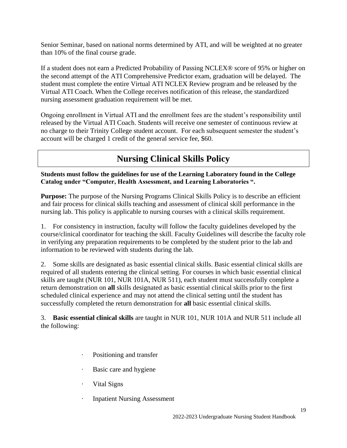Senior Seminar, based on national norms determined by ATI, and will be weighted at no greater than 10% of the final course grade.

If a student does not earn a Predicted Probability of Passing NCLEX® score of 95% or higher on the second attempt of the ATI Comprehensive Predictor exam, graduation will be delayed. The student must complete the entire Virtual ATI NCLEX Review program and be released by the Virtual ATI Coach. When the College receives notification of this release, the standardized nursing assessment graduation requirement will be met.

Ongoing enrollment in Virtual ATI and the enrollment fees are the student's responsibility until released by the Virtual ATI Coach. Students will receive one semester of continuous review at no charge to their Trinity College student account. For each subsequent semester the student's account will be charged 1 credit of the general service fee, \$60.

## **Nursing Clinical Skills Policy**

**Students must follow the guidelines for use of the Learning Laboratory found in the College Catalog under "Computer, Health Assessment, and Learning Laboratories ".**

**Purpose:** The purpose of the Nursing Programs Clinical Skills Policy is to describe an efficient and fair process for clinical skills teaching and assessment of clinical skill performance in the nursing lab. This policy is applicable to nursing courses with a clinical skills requirement.

1. For consistency in instruction, faculty will follow the faculty guidelines developed by the course/clinical coordinator for teaching the skill. Faculty Guidelines will describe the faculty role in verifying any preparation requirements to be completed by the student prior to the lab and information to be reviewed with students during the lab.

2. Some skills are designated as basic essential clinical skills. Basic essential clinical skills are required of all students entering the clinical setting. For courses in which basic essential clinical skills are taught (NUR 101, NUR 101A, NUR 511), each student must successfully complete a return demonstration on **all** skills designated as basic essential clinical skills prior to the first scheduled clinical experience and may not attend the clinical setting until the student has successfully completed the return demonstration for **all** basic essential clinical skills.

3. **Basic essential clinical skills** are taught in NUR 101, NUR 101A and NUR 511 include all the following:

- · Positioning and transfer
- Basic care and hygiene
- Vital Signs
- · Inpatient Nursing Assessment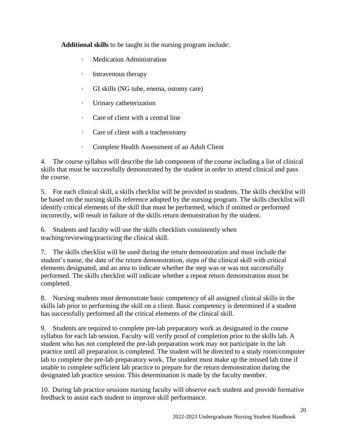**Additional skills** to be taught in the nursing program include:

- **Medication Administration**
- · Intravenous therapy
- · GI skills (NG tube, enema, ostomy care)
- · Urinary catheterization
- · Care of client with a central line
- · Care of client with a tracheostomy
- · Complete Health Assessment of an Adult Client

4. The course syllabus will describe the lab component of the course including a list of clinical skills that must be successfully demonstrated by the student in order to attend clinical and pass the course.

5. For each clinical skill, a skills checklist will be provided to students. The skills checklist will be based on the nursing skills reference adopted by the nursing program. The skills checklist will identify critical elements of the skill that must be performed, which if omitted or performed incorrectly, will result in failure of the skills return demonstration by the student.

6. Students and faculty will use the skills checklists consistently when teaching/reviewing/practicing the clinical skill.

7. The skills checklist will be used during the return demonstration and must include the student's name, the date of the return demonstration, steps of the clinical skill with critical elements designated, and an area to indicate whether the step was or was not successfully performed. The skills checklist will indicate whether a repeat return demonstration must be completed.

8. Nursing students must demonstrate basic competency of all assigned clinical skills in the skills lab prior to performing the skill on a client. Basic competency is determined if a student has successfully performed all the critical elements of the clinical skill.

9. Students are required to complete pre-lab preparatory work as designated in the course syllabus for each lab session. Faculty will verify proof of completion prior to the skills lab. A student who has not completed the pre-lab preparation work may not participate in the lab practice until all preparation is completed. The student will be directed to a study room/computer lab to complete the pre-lab preparatory work. The student must make up the missed lab time if unable to complete sufficient lab practice to prepare for the return demonstration during the designated lab practice session. This determination is made by the faculty member.

10. During lab practice sessions nursing faculty will observe each student and provide formative feedback to assist each student to improve skill performance.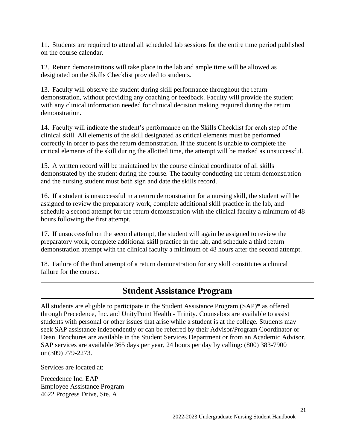11. Students are required to attend all scheduled lab sessions for the entire time period published on the course calendar.

12. Return demonstrations will take place in the lab and ample time will be allowed as designated on the Skills Checklist provided to students.

13. Faculty will observe the student during skill performance throughout the return demonstration, without providing any coaching or feedback. Faculty will provide the student with any clinical information needed for clinical decision making required during the return demonstration.

14. Faculty will indicate the student's performance on the Skills Checklist for each step of the clinical skill. All elements of the skill designated as critical elements must be performed correctly in order to pass the return demonstration. If the student is unable to complete the critical elements of the skill during the allotted time, the attempt will be marked as unsuccessful.

15. A written record will be maintained by the course clinical coordinator of all skills demonstrated by the student during the course. The faculty conducting the return demonstration and the nursing student must both sign and date the skills record.

16. If a student is unsuccessful in a return demonstration for a nursing skill, the student will be assigned to review the preparatory work, complete additional skill practice in the lab, and schedule a second attempt for the return demonstration with the clinical faculty a minimum of 48 hours following the first attempt.

17. If unsuccessful on the second attempt, the student will again be assigned to review the preparatory work, complete additional skill practice in the lab, and schedule a third return demonstration attempt with the clinical faculty a minimum of 48 hours after the second attempt.

18. Failure of the third attempt of a return demonstration for any skill constitutes a clinical failure for the course.

### **Student Assistance Program**

<span id="page-20-0"></span>All students are eligible to participate in the Student Assistance Program (SAP)\* as offered through [Precedence, Inc. and UnityPoint Health -](https://www.unitypoint.org/quadcities/services-utilization-management.aspx) Trinity. Counselors are available to assist students with personal or other issues that arise while a student is at the college. Students may seek SAP assistance independently or can be referred by their Advisor/Program Coordinator or Dean. Brochures are available in the Student Services Department or from an Academic Advisor. SAP services are available 365 days per year, 24 hours per day by calling: (800) 383-7900 or (309) 779-2273.

Services are located at:

Precedence Inc. EAP Employee Assistance Program 4622 Progress Drive, Ste. A